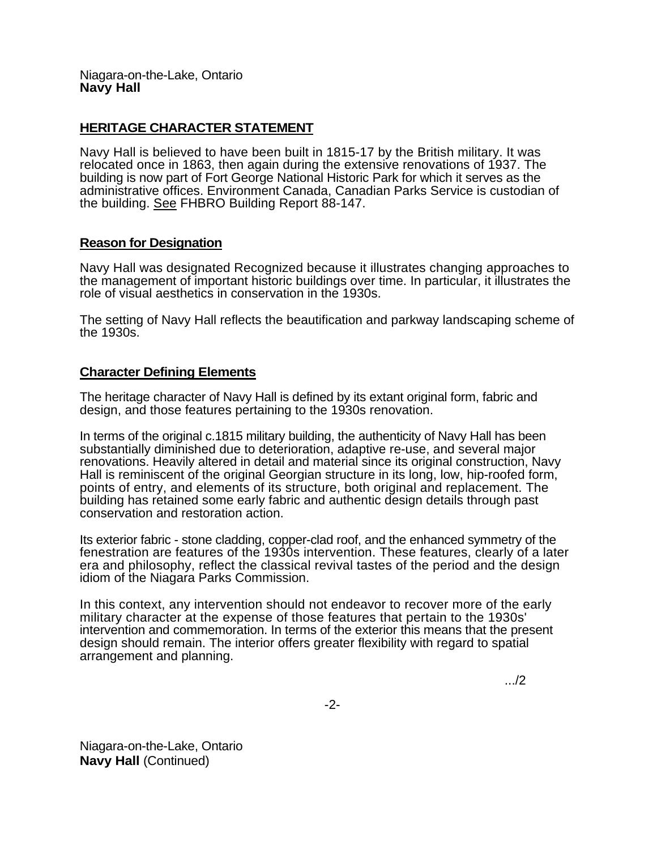Niagara-on-the-Lake, Ontario **Navy Hall** 

## **HERITAGE CHARACTER STATEMENT**

Navy Hall is believed to have been built in 1815-17 by the British military. It was relocated once in 1863, then again during the extensive renovations of 1937. The building is now part of Fort George National Historic Park for which it serves as the administrative offices. Environment Canada, Canadian Parks Service is custodian of the building. See FHBRO Building Report 88-147.

## **Reason for Designation**

Navy Hall was designated Recognized because it illustrates changing approaches to the management of important historic buildings over time. In particular, it illustrates the role of visual aesthetics in conservation in the 1930s.

The setting of Navy Hall reflects the beautification and parkway landscaping scheme of the 1930s.

## **Character Defining Elements**

The heritage character of Navy Hall is defined by its extant original form, fabric and design, and those features pertaining to the 1930s renovation.

In terms of the original c.1815 military building, the authenticity of Navy Hall has been substantially diminished due to deterioration, adaptive re-use, and several major renovations. Heavily altered in detail and material since its original construction, Navy Hall is reminiscent of the original Georgian structure in its long, low, hip-roofed form, points of entry, and elements of its structure, both original and replacement. The building has retained some early fabric and authentic design details through past conservation and restoration action.

Its exterior fabric - stone cladding, copper-clad roof, and the enhanced symmetry of the fenestration are features of the 1930s intervention. These features, clearly of a later era and philosophy, reflect the classical revival tastes of the period and the design idiom of the Niagara Parks Commission.

In this context, any intervention should not endeavor to recover more of the early military character at the expense of those features that pertain to the 1930s' intervention and commemoration. In terms of the exterior this means that the present design should remain. The interior offers greater flexibility with regard to spatial arrangement and planning.

.../2

-2-

Niagara-on-the-Lake, Ontario **Navy Hall (Continued)**